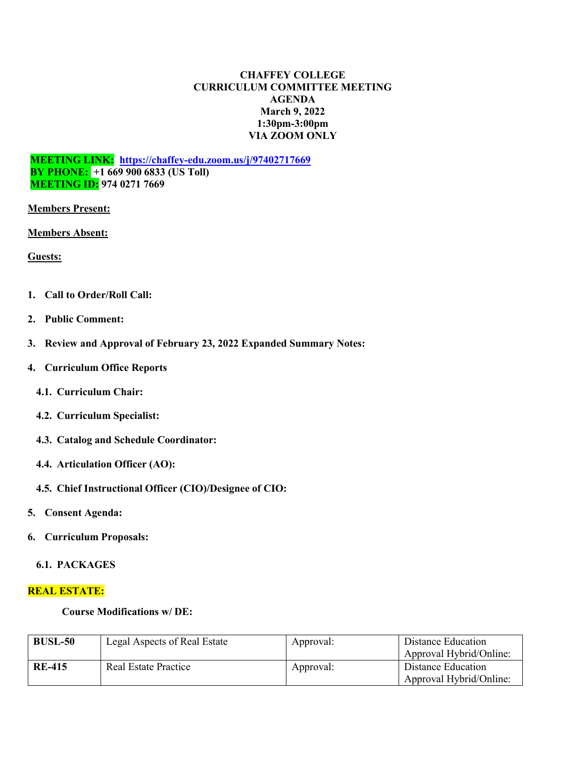#### **CHAFFEY COLLEGE CURRICULUM COMMITTEE MEETING AGENDA March 9, 2022 1:30pm-3:00pm VIA ZOOM ONLY**

**MEETING LINK: <https://chaffey-edu.zoom.us/j/97402717669> BY PHONE: +1 669 900 6833 (US Toll) MEETING ID: 974 0271 7669**

**Members Present:**

**Members Absent:**

**Guests:**

- **1. Call to Order/Roll Call:**
- **2. Public Comment:**
- **3. Review and Approval of February 23, 2022 Expanded Summary Notes:**
- **4. Curriculum Office Reports**
	- **4.1. Curriculum Chair:**
	- **4.2. Curriculum Specialist:**
	- **4.3. Catalog and Schedule Coordinator:**
	- **4.4. Articulation Officer (AO):**
	- **4.5. Chief Instructional Officer (CIO)/Designee of CIO:**
- **5. Consent Agenda:**
- **6. Curriculum Proposals:**

#### **6.1. PACKAGES**

#### **REAL ESTATE:**

#### **Course Modifications w/ DE:**

| <b>BUSL-50</b> | Legal Aspects of Real Estate | Approval: | Distance Education<br>Approval Hybrid/Online: |
|----------------|------------------------------|-----------|-----------------------------------------------|
| <b>RE-415</b>  | Real Estate Practice         | Approval: | Distance Education<br>Approval Hybrid/Online: |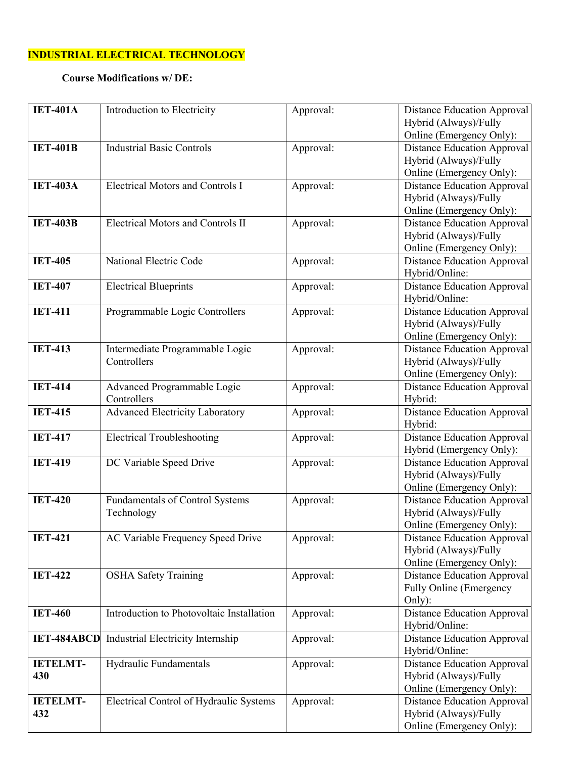## **INDUSTRIAL ELECTRICAL TECHNOLOGY**

### **Course Modifications w/ DE:**

| <b>IET-401A</b>    | Introduction to Electricity               | Approval: | <b>Distance Education Approval</b>                |
|--------------------|-------------------------------------------|-----------|---------------------------------------------------|
|                    |                                           |           | Hybrid (Always)/Fully                             |
|                    |                                           |           | Online (Emergency Only):                          |
| <b>IET-401B</b>    | <b>Industrial Basic Controls</b>          | Approval: | <b>Distance Education Approval</b>                |
|                    |                                           |           | Hybrid (Always)/Fully                             |
|                    |                                           |           | Online (Emergency Only):                          |
| <b>IET-403A</b>    | <b>Electrical Motors and Controls I</b>   | Approval: | <b>Distance Education Approval</b>                |
|                    |                                           |           | Hybrid (Always)/Fully                             |
|                    |                                           |           | Online (Emergency Only):                          |
| <b>IET-403B</b>    | <b>Electrical Motors and Controls II</b>  | Approval: | <b>Distance Education Approval</b>                |
|                    |                                           |           | Hybrid (Always)/Fully                             |
|                    |                                           |           | Online (Emergency Only):                          |
| <b>IET-405</b>     | National Electric Code                    | Approval: | <b>Distance Education Approval</b>                |
|                    |                                           |           | Hybrid/Online:                                    |
| <b>IET-407</b>     | <b>Electrical Blueprints</b>              | Approval: | <b>Distance Education Approval</b>                |
|                    |                                           |           | Hybrid/Online:                                    |
| <b>IET-411</b>     | Programmable Logic Controllers            | Approval: | <b>Distance Education Approval</b>                |
|                    |                                           |           | Hybrid (Always)/Fully                             |
|                    |                                           |           | Online (Emergency Only):                          |
| <b>IET-413</b>     | Intermediate Programmable Logic           | Approval: | <b>Distance Education Approval</b>                |
|                    | Controllers                               |           | Hybrid (Always)/Fully                             |
|                    |                                           |           | Online (Emergency Only):                          |
| IET-414            | Advanced Programmable Logic               | Approval: | <b>Distance Education Approval</b>                |
|                    | Controllers                               |           | Hybrid:                                           |
| <b>IET-415</b>     | <b>Advanced Electricity Laboratory</b>    | Approval: | <b>Distance Education Approval</b>                |
|                    |                                           |           | Hybrid:                                           |
| <b>IET-417</b>     | <b>Electrical Troubleshooting</b>         | Approval: | <b>Distance Education Approval</b>                |
|                    |                                           |           | Hybrid (Emergency Only):                          |
| <b>IET-419</b>     | DC Variable Speed Drive                   | Approval: | <b>Distance Education Approval</b>                |
|                    |                                           |           | Hybrid (Always)/Fully                             |
| <b>IET-420</b>     |                                           |           | Online (Emergency Only):                          |
|                    | <b>Fundamentals of Control Systems</b>    | Approval: | <b>Distance Education Approval</b>                |
|                    | Technology                                |           | Hybrid (Always)/Fully<br>Online (Emergency Only): |
| <b>IET-421</b>     | AC Variable Frequency Speed Drive         | Approval: | <b>Distance Education Approval</b>                |
|                    |                                           |           | Hybrid (Always)/Fully                             |
|                    |                                           |           | Online (Emergency Only):                          |
| <b>IET-422</b>     | <b>OSHA Safety Training</b>               | Approval: | <b>Distance Education Approval</b>                |
|                    |                                           |           | <b>Fully Online (Emergency</b>                    |
|                    |                                           |           | Only):                                            |
| <b>IET-460</b>     | Introduction to Photovoltaic Installation | Approval: | <b>Distance Education Approval</b>                |
|                    |                                           |           | Hybrid/Online:                                    |
| <b>IET-484ABCD</b> | <b>Industrial Electricity Internship</b>  | Approval: | <b>Distance Education Approval</b>                |
|                    |                                           |           | Hybrid/Online:                                    |
| <b>IETELMT-</b>    | Hydraulic Fundamentals                    | Approval: | <b>Distance Education Approval</b>                |
| 430                |                                           |           | Hybrid (Always)/Fully                             |
|                    |                                           |           | Online (Emergency Only):                          |
| <b>IETELMT-</b>    | Electrical Control of Hydraulic Systems   | Approval: | <b>Distance Education Approval</b>                |
| 432                |                                           |           | Hybrid (Always)/Fully                             |
|                    |                                           |           | Online (Emergency Only):                          |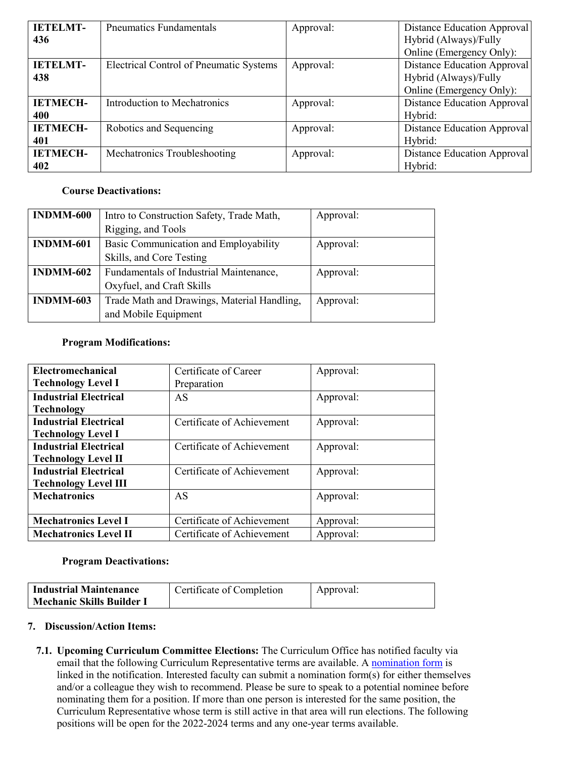| <b>IETELMT-</b> | <b>Pneumatics Fundamentals</b>                 | Approval: | Distance Education Approval        |  |
|-----------------|------------------------------------------------|-----------|------------------------------------|--|
| 436             |                                                |           | Hybrid (Always)/Fully              |  |
|                 |                                                |           | Online (Emergency Only):           |  |
| <b>IETELMT-</b> | <b>Electrical Control of Pneumatic Systems</b> | Approval: | <b>Distance Education Approval</b> |  |
| 438             |                                                |           | Hybrid (Always)/Fully              |  |
|                 |                                                |           | Online (Emergency Only):           |  |
| <b>IETMECH-</b> | Introduction to Mechatronics                   | Approval: | Distance Education Approval        |  |
| 400             |                                                |           | Hybrid:                            |  |
| <b>IETMECH-</b> | Robotics and Sequencing                        | Approval: | Distance Education Approval        |  |
| 401             |                                                |           | Hybrid:                            |  |
| <b>IETMECH-</b> | Mechatronics Troubleshooting                   | Approval: | <b>Distance Education Approval</b> |  |
| 402             |                                                |           | Hybrid:                            |  |

#### **Course Deactivations:**

| INDMM-600        | Intro to Construction Safety, Trade Math,   | Approval: |
|------------------|---------------------------------------------|-----------|
|                  | Rigging, and Tools                          |           |
| <b>INDMM-601</b> | Basic Communication and Employability       | Approval: |
|                  | Skills, and Core Testing                    |           |
| <b>INDMM-602</b> | Fundamentals of Industrial Maintenance,     | Approval: |
|                  | Oxyfuel, and Craft Skills                   |           |
| <b>INDMM-603</b> | Trade Math and Drawings, Material Handling, | Approval: |
|                  | and Mobile Equipment                        |           |

#### **Program Modifications:**

| Electromechanical            | Certificate of Career      | Approval: |
|------------------------------|----------------------------|-----------|
| <b>Technology Level I</b>    | Preparation                |           |
| <b>Industrial Electrical</b> | AS                         | Approval: |
| <b>Technology</b>            |                            |           |
| <b>Industrial Electrical</b> | Certificate of Achievement | Approval: |
| <b>Technology Level I</b>    |                            |           |
| <b>Industrial Electrical</b> | Certificate of Achievement | Approval: |
| <b>Technology Level II</b>   |                            |           |
| <b>Industrial Electrical</b> | Certificate of Achievement | Approval: |
| <b>Technology Level III</b>  |                            |           |
| <b>Mechatronics</b>          | AS                         | Approval: |
|                              |                            |           |
| <b>Mechatronics Level I</b>  | Certificate of Achievement | Approval: |
| <b>Mechatronics Level II</b> | Certificate of Achievement | Approval: |

#### **Program Deactivations:**

| Industrial Maintenance    | Certificate of Completion | Approval: |
|---------------------------|---------------------------|-----------|
| Mechanic Skills Builder 1 |                           |           |

#### **7. Discussion/Action Items:**

**7.1. Upcoming Curriculum Committee Elections:** The Curriculum Office has notified faculty via email that the following Curriculum Representative terms are available. A [nomination form](https://forms.gle/VusmxpxYuJpkV4Wm8) is linked in the notification. Interested faculty can submit a nomination form(s) for either themselves and/or a colleague they wish to recommend. Please be sure to speak to a potential nominee before nominating them for a position. If more than one person is interested for the same position, the Curriculum Representative whose term is still active in that area will run elections. The following positions will be open for the 2022-2024 terms and any one-year terms available.